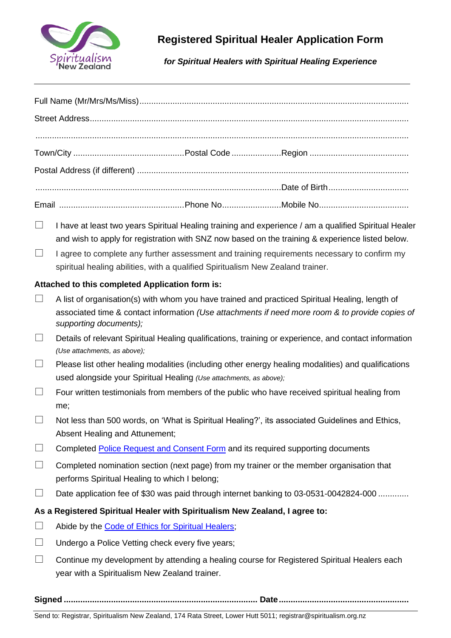

## **Registered Spiritual Healer Application Form**

## *for Spiritual Healers with Spiritual Healing Experience*

- $\Box$  I have at least two years Spiritual Healing training and experience / am a qualified Spiritual Healer and wish to apply for registration with SNZ now based on the training & experience listed below.
- $\Box$  I agree to complete any further assessment and training requirements necessary to confirm my spiritual healing abilities, with a qualified Spiritualism New Zealand trainer.

## **Attached to this completed Application form is:**

- $\Box$  A list of organisation(s) with whom you have trained and practiced Spiritual Healing, length of associated time & contact information *(Use attachments if need more room & to provide copies of supporting documents);*
- $\Box$  Details of relevant Spiritual Healing qualifications, training or experience, and contact information *(Use attachments, as above);*
- $\Box$  Please list other healing modalities (including other energy healing modalities) and qualifications used alongside your Spiritual Healing *(Use attachments, as above);*
- $\Box$  Four written testimonials from members of the public who have received spiritual healing from me;
- $\Box$  Not less than 500 words, on 'What is Spiritual Healing?', its associated Guidelines and Ethics, Absent Healing and Attunement;
- $\Box$  Completed [Police Request and Consent Form](http://www.police.govt.nz/advice/businesses-and-organisations/vetting/forms-and-guides) and its required supporting documents
- $\Box$  Completed nomination section (next page) from my trainer or the member organisation that performs Spiritual Healing to which I belong;
- $\square$  Date application fee of \$30 was paid through internet banking to 03-0531-0042824-000 ..............
- **As a Registered Spiritual Healer with Spiritualism New Zealand, I agree to:**
- $\Box$  Abide by the [Code of Ethics for Spiritual Healers;](https://spiritualism.org.nz/wp-content/uploads/2017/12/Spiritual-Healers-Code-of-Ethics.pdf)
- $\Box$  Undergo a Police Vetting check every five years;
- $\Box$  Continue my development by attending a healing course for Registered Spiritual Healers each year with a Spiritualism New Zealand trainer.

**Signed .................................................................................. Date.......................................................**